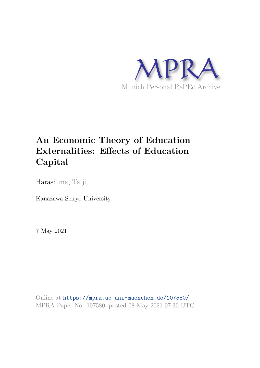

# **An Economic Theory of Education Externalities: Effects of Education Capital**

Harashima, Taiji

Kanazawa Seiryo University

7 May 2021

Online at https://mpra.ub.uni-muenchen.de/107580/ MPRA Paper No. 107580, posted 08 May 2021 07:30 UTC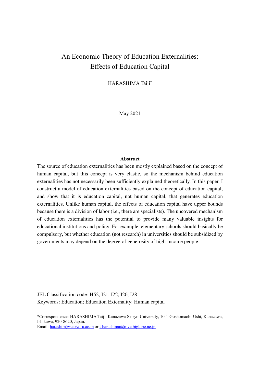## An Economic Theory of Education Externalities: Effects of Education Capital

HARASHIMA Taiji\*

May 2021

#### **Abstract**

The source of education externalities has been mostly explained based on the concept of human capital, but this concept is very elastic, so the mechanism behind education externalities has not necessarily been sufficiently explained theoretically. In this paper, I construct a model of education externalities based on the concept of education capital, and show that it is education capital, not human capital, that generates education externalities. Unlike human capital, the effects of education capital have upper bounds because there is a division of labor (i.e., there are specialists). The uncovered mechanism of education externalities has the potential to provide many valuable insights for educational institutions and policy. For example, elementary schools should basically be compulsory, but whether education (not research) in universities should be subsidized by governments may depend on the degree of generosity of high-income people.

JEL Classification code: H52, I21, I22, I26, I28 Keywords: Education; Education Externality; Human capital

Email: [harashim@seiryo-u.ac.jp](mailto:harashim@seiryo-u.ac.jp) or [t-harashima@mve.biglobe.ne.jp.](mailto:t-harashima@mve.biglobe.ne.jp)

 $\overline{a}$ 

<sup>\*</sup>Correspondence: HARASHIMA Taiji, Kanazawa Seiryo University, 10-1 Goshomachi-Ushi, Kanazawa, Ishikawa, 920-8620, Japan.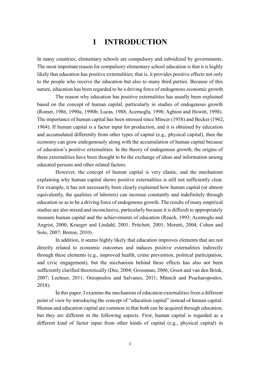## **1 INTRODUCTION**

In many countries, elementary schools are compulsory and subsidized by governments. The most important reason for compulsory elementary school education is that it is highly likely that education has positive externalities; that is, it provides positive effects not only to the people who receive the education but also to many third parties. Because of this nature, education has been regarded to be a driving force of endogenous economic growth.

The reason why education has positive externalities has usually been explained based on the concept of human capital, particularly in studies of endogenous growth (Romer, 1986, 1990a, 1990b; Lucas, 1988; Acemoglu, 1998; Aghion and Howitt, 1998). The importance of human capital has been stressed since Mincer (1958) and Becker (1962, 1964). If human capital is a factor input for production, and it is obtained by education and accumulated differently from other types of capital (e.g., physical capital), then the economy can grow endogenously along with the accumulation of human capital because of education's positive externalities. In the theory of endogenous growth, the origins of these externalities have been thought to be the exchange of ideas and information among educated persons and other related factors.

However, the concept of human capital is very elastic, and the mechanism explaining why human capital shows positive externalities is still not sufficiently clear. For example, it has not necessarily been clearly explained how human capital (or almost equivalently, the qualities of laborers) can increase constantly and indefinitely through education so as to be a driving force of endogenous growth. The results of many empirical studies are also mixed and inconclusive, particularly because it is difficult to appropriately measure human capital and the achievements of education (Rauch, 1993; Acemoglu and Angrist, 2000; Krueger and Lindahl, 2001; Pritchett, 2001; Moretti, 2004; Cohen and Soto, 2007; Breton, 2010).

In addition, it seems highly likely that education improves elements that are not directly related to economic outcomes and induces positive externalities indirectly through these elements (e.g., improved health, crime prevention, political participation, and civic engagement), but the mechanism behind these effects has also not been sufficiently clarified theoretically (Dee, 2004; Grossman, 2006; Groot and van den Brink, 2007; Lochner, 2011; Oreopoulos and Salvanes, 2011; Münich and Psacharopoulos, 2018).

 In this paper, I examine the mechanism of education externalities from a different point of view by introducing the concept of "education capital" instead of human capital. Human and education capital are common in that both can be acquired through education, but they are different in the following aspects. First, human capital is regarded as a different kind of factor input from other kinds of capital (e.g., physical capital) in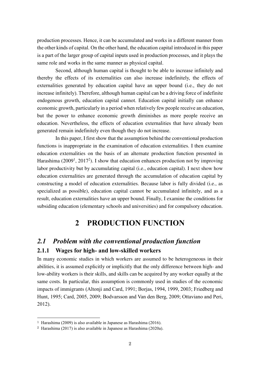production processes. Hence, it can be accumulated and works in a different manner from the other kinds of capital. On the other hand, the education capital introduced in this paper is a part of the larger group of capital inputs used in production processes, and it plays the same role and works in the same manner as physical capital.

Second, although human capital is thought to be able to increase infinitely and thereby the effects of its externalities can also increase indefinitely, the effects of externalities generated by education capital have an upper bound (i.e., they do not increase infinitely). Therefore, although human capital can be a driving force of indefinite endogenous growth, education capital cannot. Education capital initially can enhance economic growth, particularly in a period when relatively few people receive an education, but the power to enhance economic growth diminishes as more people receive an education. Nevertheless, the effects of education externalities that have already been generated remain indefinitely even though they do not increase.

 In this paper, I first show that the assumption behind the conventional production functions is inappropriate in the examination of education externalities. I then examine education externalities on the basis of an alternate production function presented in Harashima (2009<sup>1</sup>, 2017<sup>2</sup>). I show that education enhances production not by improving labor productivity but by accumulating capital (i.e., education capital). I next show how education externalities are generated through the accumulation of education capital by constructing a model of education externalities. Because labor is fully divided (i.e., as specialized as possible), education capital cannot be accumulated infinitely, and as a result, education externalities have an upper bound. Finally, I examine the conditions for subsiding education (elementary schools and universities) and for compulsory education.

## **2 PRODUCTION FUNCTION**

## *2.1 Problem with the conventional production function*

#### **2.1.1 Wages for high- and low-skilled workers**

In many economic studies in which workers are assumed to be heterogeneous in their abilities, it is assumed explicitly or implicitly that the only difference between high- and low-ability workers is their skills, and skills can be acquired by any worker equally at the same costs. In particular, this assumption is commonly used in studies of the economic impacts of immigrants (Altonji and Card, 1991; Borjas, 1994, 1999, 2003; Friedberg and Hunt, 1995; Card, 2005, 2009; Bodvarsson and Van den Berg, 2009; Ottaviano and Peri, 2012).

 $\overline{a}$ 

<sup>1</sup> Harashima (2009) is also available in Japanese as Harashima (2016).

<sup>2</sup> Harashima (2017) is also available in Japanese as Harashima (2020a).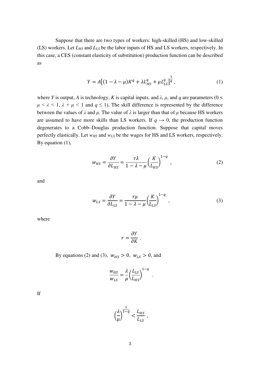Suppose that there are two types of workers: high-skilled (HS) and low-skilled (LS) workers. Let *LHS* and *LLS* be the labor inputs of HS and LS workers, respectively. In this case, a CES (constant elasticity of substitution) production function can be described as

$$
Y = A[(1 - \lambda - \mu)K^{q} + \lambda L_{HS}^{q} + \mu L_{LS}^{q}]^{\frac{1}{q}},
$$
\n(1)

where *Y* is output, *A* is technology, *K* is capital inputs, and  $\lambda$ ,  $\mu$ , and  $q$  are parameters (0 <  $\mu < \lambda < 1$ ,  $\lambda + \mu < 1$  and  $q \le 1$ ). The skill difference is represented by the difference between the values of  $\lambda$  and  $\mu$ . The value of  $\lambda$  is larger than that of  $\mu$  because HS workers are assumed to have more skills than LS workers. If  $q \to 0$ , the production function degenerates to a Cobb–Douglas production function. Suppose that capital moves perfectly elastically. Let *wHS* and *wLS* be the wages for HS and LS workers, respectively. By equation (1),

$$
w_{HS} = \frac{\partial Y}{\partial L_{HS}} = \frac{r\lambda}{1 - \lambda - \mu} \left(\frac{K}{L_{HS}}\right)^{1 - q},\tag{2}
$$

and

$$
w_{LS} = \frac{\partial Y}{\partial L_{LS}} = \frac{r\mu}{1 - \lambda - \mu} \left(\frac{K}{L_{LS}}\right)^{1 - q},\tag{3}
$$

.

where

$$
r=\frac{\partial Y}{\partial K}.
$$

By equations (2) and (3),  $w_{HS} > 0$ ,  $w_{LS} > 0$ , and

$$
\frac{w_{HS}}{w_{LS}} = \frac{\lambda}{\mu} \left( \frac{L_{LS}}{L_{HS}} \right)^{1-q}
$$

If

$$
\left(\frac{\lambda}{\mu}\right)^{\frac{1}{1-q}} < \frac{L_{HS}}{L_{LS}} \;,
$$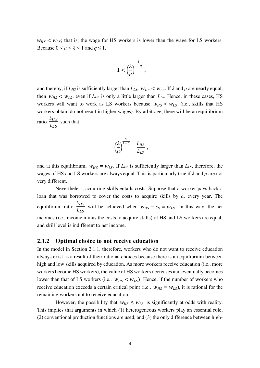$w_{HS} < w_{LS}$ ; that is, the wage for HS workers is lower than the wage for LS workers. Because  $0 \leq \mu \leq \lambda \leq 1$  and  $q \leq 1$ ,

$$
1 < \left(\frac{\lambda}{\mu}\right)^{\frac{1}{1-q}},
$$

and thereby, if  $L_{HS}$  is sufficiently larger than  $L_{LS}$ ,  $W_{HS} < W_{LS}$ . If  $\lambda$  and  $\mu$  are nearly equal, then  $w_{HS} < w_{LS}$ , even if  $L_{HS}$  is only a little larger than  $L_{LS}$ . Hence, in these cases, HS workers will want to work as LS workers because  $w_{HS} < w_{LS}$  (i.e., skills that HS workers obtain do not result in higher wages). By arbitrage, there will be an equilibrium ratio  $\frac{L_{HS}}{I}$  $L_{LS}$ such that

$$
\left(\frac{\lambda}{\mu}\right)^{\frac{1}{1-q}} = \frac{L_{HS}}{L_{LS}} ,
$$

and at this equilibrium,  $w_{HS} = w_{LS}$ . If  $L_{HS}$  is sufficiently larger than  $L_{LS}$ , therefore, the wages of HS and LS workers are always equal. This is particularly true if *λ* and *μ* are not very different.

 Nevertheless, acquiring skills entails costs. Suppose that a worker pays back a loan that was borrowed to cover the costs to acquire skills by  $c<sub>S</sub>$  every year. The equilibrium ratio  $\frac{L_{HS}}{I}$  $\frac{L_{HS}}{L_{LS}}$  will be achieved when  $w_{HS} - c_S = w_{LS}$ . In this way, the net incomes (i.e., income minus the costs to acquire skills) of HS and LS workers are equal, and skill level is indifferent to net income.

#### **2.1.2 Optimal choice to not receive education**

In the model in Section 2.1.1, therefore, workers who do not want to receive education always exist as a result of their rational choices because there is an equilibrium between high and low skills acquired by education. As more workers receive education (i.e., more workers become HS workers), the value of HS workers decreases and eventually becomes lower than that of LS workers (i.e.,  $w_{HS} < w_{LS}$ ). Hence, if the number of workers who receive education exceeds a certain critical point (i.e.,  $w_{HS} = w_{LS}$ ), it is rational for the remaining workers not to receive education.

However, the possibility that  $w_{HS} \leq w_{LS}$  is significantly at odds with reality. This implies that arguments in which (1) heterogeneous workers play an essential role, (2) conventional production functions are used, and (3) the only difference between high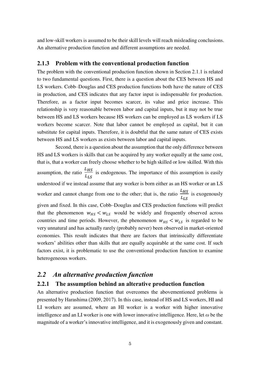and low-skill workers is assumed to be their skill levels will reach misleading conclusions. An alternative production function and different assumptions are needed.

#### **2.1.3 Problem with the conventional production function**

The problem with the conventional production function shown in Section 2.1.1 is related to two fundamental questions. First, there is a question about the CES between HS and LS workers. Cobb–Douglas and CES production functions both have the nature of CES in production, and CES indicates that any factor input is indispensable for production. Therefore, as a factor input becomes scarcer, its value and price increase. This relationship is very reasonable between labor and capital inputs, but it may not be true between HS and LS workers because HS workers can be employed as LS workers if LS workers become scarcer. Note that labor cannot be employed as capital, but it can substitute for capital inputs. Therefore, it is doubtful that the same nature of CES exists between HS and LS workers as exists between labor and capital inputs.

 Second, there is a question about the assumption that the only difference between HS and LS workers is skills that can be acquired by any worker equally at the same cost, that is, that a worker can freely choose whether to be high skilled or low skilled. With this assumption, the ratio  $\frac{L_{HS}}{I}$  $L_{LS}$  is endogenous. The importance of this assumption is easily understood if we instead assume that any worker is born either as an HS worker or an LS worker and cannot change from one to the other; that is, the ratio  $\frac{L_{HS}}{I}$  $L_{LS}$  is exogenously given and fixed. In this case, Cobb–Douglas and CES production functions will predict that the phenomenon  $w_{HS} < w_{LS}$  would be widely and frequently observed across countries and time periods. However, the phenomenon  $w_{HS} < w_{LS}$  is regarded to be very unnatural and has actually rarely (probably never) been observed in market-oriented economies. This result indicates that there are factors that intrinsically differentiate workers' abilities other than skills that are equally acquirable at the same cost. If such factors exist, it is problematic to use the conventional production function to examine heterogeneous workers.

### *2.2 An alternative production function*

#### **2.2.1 The assumption behind an alterative production function**

An alternative production function that overcomes the abovementioned problems is presented by Harashima (2009, 2017). In this case, instead of HS and LS workers, HI and LI workers are assumed, where an HI worker is a worker with higher innovative intelligence and an LI worker is one with lower innovative intelligence. Here, let *ω* be the magnitude of a worker's innovative intelligence, and it is exogenously given and constant.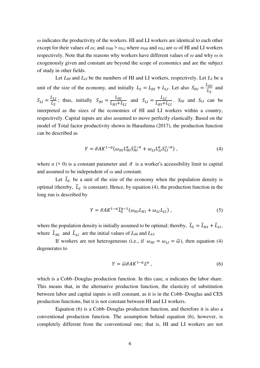*ω* indicates the productivity of the workers. HI and LI workers are identical to each other except for their values of  $\omega$ ; and  $\omega_{HI} > \omega_{LI}$  where  $\omega_{HI}$  and  $\omega_{LI}$  are  $\omega$  of HI and LI workers respectively. Note that the reasons why workers have different values of *ω* and why *ω* is exogenously given and constant are beyond the scope of economics and are the subject of study in other fields.

 Let *LHI* and *LLI* be the numbers of HI and LI workers, respectively. Let *LS* be a unit of the size of the economy, and initially  $L_S = L_{HI} + L_{LI}$ . Let also  $S_{HI} = \frac{L_{HI}}{L_S}$  $L_{\mathcal{S}}$  and  $S_{LI}=\frac{L_{LI}}{L_{S}}$  $\frac{L_{LI}}{L_S}$ ; thus, initially  $S_{HI} = \frac{L_{HI}}{L_{HI} + R}$  $\frac{L_{HI}}{L_{HI}+L_{LI}}$  and  $S_{LI} = \frac{L_{LI}}{L_{HI}+R}$  $L_{HI}+L_{LI}$ . *SHI* and *SLI* can be interpreted as the sizes of the economies of HI and LI workers within a country, respectively. Capital inputs are also assumed to move perfectly elastically. Based on the model of Total factor productivity shown in Harashima (2017), the production function can be described as

$$
Y = \overline{\sigma} A K^{1-\alpha} \left( \omega_{HI} L_{HI}^{\alpha} S_{HI}^{1-\alpha} + \omega_{LI} L_{LI}^{\alpha} S_{LI}^{1-\alpha} \right), \tag{4}
$$

where  $\alpha$  (> 0) is a constant parameter and  $\bar{\sigma}$  is a worker's accessibility limit to capital and assumed to be independent of *ω* and constant.

Let  $\overline{L}_s$  be a unit of the size of the economy when the population density is optimal (thereby,  $\bar{L}_s$  is constant). Hence, by equation (4), the production function in the long run is described by

$$
Y = \bar{\sigma} A K^{1-\alpha} \bar{L}_S^{\alpha-1}(\omega_{HI} L_{HI} + \omega_{LI} L_{LI}), \qquad (5)
$$

where the population density is initially assumed to be optimal; thereby,  $\bar{L}_S = \bar{L}_{HI} + \bar{L}_{LI}$ , where  $\bar{L}_{HI}$  and  $\bar{L}_{LI}$  are the initial values of  $L_{HI}$  and  $L_{LI}$ .

If workers are not heterogeneous (i.e., if  $\omega_{HI} = \omega_{LI} = \bar{\omega}$ ), then equation (4) degenerates to

$$
Y = \overline{\omega}\overline{\sigma}AK^{1-\alpha}L^{\alpha} \,, \tag{6}
$$

which is a Cobb–Douglas production function. In this case, *α* indicates the labor share. This means that, in the alternative production function, the elasticity of substitution between labor and capital inputs is still constant, as it is in the Cobb–Douglas and CES production functions, but it is not constant between HI and LI workers.

 Equation (6) is a Cobb–Douglas production function, and therefore it is also a conventional production function. The assumption behind equation (6), however, is completely different from the conventional one; that is, HI and LI workers are not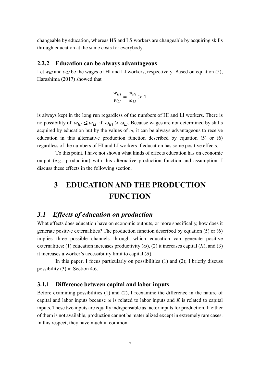changeable by education, whereas HS and LS workers are changeable by acquiring skills through education at the same costs for everybody.

#### **2.2.2 Education can be always advantageous**

Let *w<sub>HI</sub>* and *w<sub>LI</sub>* be the wages of HI and LI workers, respectively. Based on equation (5), Harashima (2017) showed that

$$
\frac{w_{HI}}{w_{LI}} = \frac{\omega_{HI}}{\omega_{LI}} > 1
$$

is always kept in the long run regardless of the numbers of HI and LI workers. There is no possibility of  $w_{HI} \leq w_{LI}$  if  $\omega_{HI} > \omega_{LI}$ . Because wages are not determined by skills acquired by education but by the values of *ω*, it can be always advantageous to receive education in this alternative production function described by equation (5) or (6) regardless of the numbers of HI and LI workers if education has some positive effects.

 To this point, I have not shown what kinds of effects education has on economic output (e.g., production) with this alternative production function and assumption. I discuss these effects in the following section.

# **3 EDUCATION AND THE PRODUCTION FUNCTION**

### *3.1 Effects of education on production*

What effects does education have on economic outputs, or more specifically, how does it generate positive externalities? The production function described by equation (5) or (6) implies three possible channels through which education can generate positive externalities: (1) education increases productivity  $(\omega)$ , (2) it increases capital  $(K)$ , and (3) it increases a worker's accessibility limit to capital  $(\bar{\sigma})$ .

 In this paper, I focus particularly on possibilities (1) and (2); I briefly discuss possibility (3) in Section 4.6.

#### **3.1.1 Difference between capital and labor inputs**

Before examining possibilities (1) and (2), I reexamine the difference in the nature of capital and labor inputs because *ω* is related to labor inputs and *K* is related to capital inputs. These two inputs are equally indispensable as factor inputs for production. If either of them is not available, production cannot be materialized except in extremely rare cases. In this respect, they have much in common.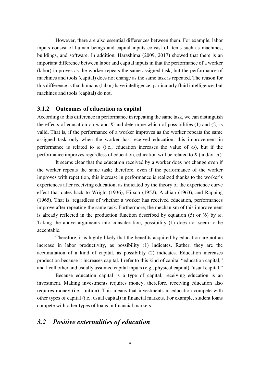However, there are also essential differences between them. For example, labor inputs consist of human beings and capital inputs consist of items such as machines, buildings, and software. In addition, Harashima (2009, 2017) showed that there is an important difference between labor and capital inputs in that the performance of a worker (labor) improves as the worker repeats the same assigned task, but the performance of machines and tools (capital) does not change as the same task is repeated. The reason for this difference is that humans (labor) have intelligence, particularly fluid intelligence, but machines and tools (capital) do not.

#### **3.1.2 Outcomes of education as capital**

According to this difference in performance in repeating the same task, we can distinguish the effects of education on  $\omega$  and *K* and determine which of possibilities (1) and (2) is valid. That is, if the performance of a worker improves as the worker repeats the same assigned task only when the worker has received education, this improvement in performance is related to  $\omega$  (i.e., education increases the value of  $\omega$ ), but if the performance improves regardless of education, education will be related to  $K$  (and/or  $\bar{\sigma}$ ).

 It seems clear that the education received by a worker does not change even if the worker repeats the same task; therefore, even if the performance of the worker improves with repetition, this increase in performance is realized thanks to the worker's experiences after receiving education, as indicated by the theory of the experience curve effect that dates back to Wright (1936), Hirsch (1952), Alchian (1963), and Rapping (1965). That is, regardless of whether a worker has received education, performances improve after repeating the same task. Furthermore, the mechanism of this improvement is already reflected in the production function described by equation (5) or (6) by *ω*. Taking the above arguments into consideration, possibility (1) does not seem to be acceptable.

 Therefore, it is highly likely that the benefits acquired by education are not an increase in labor productivity, as possibility (1) indicates. Rather, they are the accumulation of a kind of capital, as possibility (2) indicates. Education increases production because it increases capital. I refer to this kind of capital "education capital," and I call other and usually assumed capital inputs (e.g., physical capital) "usual capital."

 Because education capital is a type of capital, receiving education is an investment. Making investments requires money; therefore, receiving education also requires money (i.e., tuition). This means that investments in education compete with other types of capital (i.e., usual capital) in financial markets. For example, student loans compete with other types of loans in financial markets.

### *3.2 Positive externalities of education*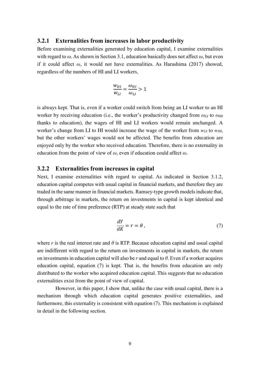#### **3.2.1 Externalities from increases in labor productivity**

Before examining externalities generated by education capital, I examine externalities with regard to *ω*. As shown in Section 3.1, education basically does not affect *ω*, but even if it could affect *ω*, it would not have externalities. As Harashima (2017) showed, regardless of the numbers of HI and LI workers,

$$
\frac{w_{HI}}{w_{LI}} = \frac{\omega_{HI}}{\omega_{LI}} > 1
$$

is always kept. That is, even if a worker could switch from being an LI worker to an HI worker by receiving education (i.e., the worker's productivity changed from  $ω$ <sup>*LI*</sup> to  $ω$ <sub>*HI*</sub> thanks to education), the wages of HI and LI workers would remain unchanged. A worker's change from LI to HI would increase the wage of the worker from *wLI* to *wHI*, but the other workers' wages would not be affected. The benefits from education are enjoyed only by the worker who received education. Therefore, there is no externality in education from the point of view of *ω*, even if education could affect *ω*.

#### **3.2.2 Externalities from increases in capital**

Next, I examine externalities with regard to capital. As indicated in Section 3.1.2, education capital competes with usual capital in financial markets, and therefore they are traded in the same manner in financial markets. Ramsey-type growth models indicate that, through arbitrage in markets, the return on investments in capital is kept identical and equal to the rate of time preference (RTP) at steady state such that

$$
\frac{dY}{dK} = r = \theta \,,\tag{7}
$$

where *r* is the real interest rate and  $\theta$  is RTP. Because education capital and usual capital are indifferent with regard to the return on investments in capital in markets, the return on investments in education capital will also be *r* and equal to *θ*. Even if a worker acquires education capital, equation (7) is kept. That is, the benefits from education are only distributed to the worker who acquired education capital. This suggests that no education externalities exist from the point of view of capital.

 However, in this paper, I show that, unlike the case with usual capital, there is a mechanism through which education capital generates positive externalities, and furthermore, this externality is consistent with equation (7). This mechanism is explained in detail in the following section.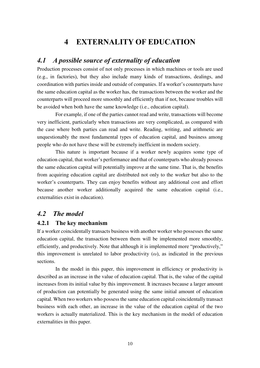## **4 EXTERNALITY OF EDUCATION**

### *4.1 A possible source of externality of education*

Production processes consist of not only processes in which machines or tools are used (e.g., in factories), but they also include many kinds of transactions, dealings, and coordination with parties inside and outside of companies. If a worker's counterparts have the same education capital as the worker has, the transactions between the worker and the counterparts will proceed more smoothly and efficiently than if not, because troubles will be avoided when both have the same knowledge (i.e., education capital).

 For example, if one of the parties cannot read and write, transactions will become very inefficient, particularly when transactions are very complicated, as compared with the case where both parties can read and write. Reading, writing, and arithmetic are unquestionably the most fundamental types of education capital, and business among people who do not have these will be extremely inefficient in modern society.

 This nature is important because if a worker newly acquires some type of education capital, that worker's performance and that of counterparts who already possess the same education capital will potentially improve at the same time. That is, the benefits from acquiring education capital are distributed not only to the worker but also to the worker's counterparts. They can enjoy benefits without any additional cost and effort because another worker additionally acquired the same education capital (i.e., externalities exist in education).

### *4.2 The model*

#### **4.2.1 The key mechanism**

If a worker coincidentally transacts business with another worker who possesses the same education capital, the transaction between them will be implemented more smoothly, efficiently, and productively. Note that although it is implemented more "productively," this improvement is unrelated to labor productivity  $(\omega)$ , as indicated in the previous sections.

 In the model in this paper, this improvement in efficiency or productivity is described as an increase in the value of education capital. That is, the value of the capital increases from its initial value by this improvement. It increases because a larger amount of production can potentially be generated using the same initial amount of education capital. When two workers who possess the same education capital coincidentally transact business with each other, an increase in the value of the education capital of the two workers is actually materialized. This is the key mechanism in the model of education externalities in this paper.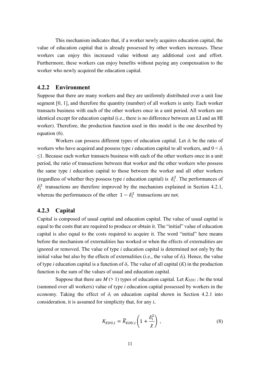This mechanism indicates that, if a worker newly acquires education capital, the value of education capital that is already possessed by other workers increases. These workers can enjoy this increased value without any additional cost and effort. Furthermore, these workers can enjoy benefits without paying any compensation to the worker who newly acquired the education capital.

#### **4.2.2 Environment**

Suppose that there are many workers and they are uniformly distributed over a unit line segment [0, 1], and therefore the quantity (number) of all workers is unity. Each worker transacts business with each of the other workers once in a unit period. All workers are identical except for education capital (i.e., there is no difference between an LI and an HI worker). Therefore, the production function used in this model is the one described by equation (6).

Workers can possess different types of education capital. Let  $\delta_i$  be the ratio of workers who have acquired and possess type *i* education capital to all workers, and  $0 < \delta_i$ ≤1. Because each worker transacts business with each of the other workers once in a unit period, the ratio of transactions between that worker and the other workers who possess the same type *i* education capital to those between the worker and all other workers (regardless of whether they possess type *i* education capital) is  $\delta_i^2$ . The performances of  $\delta_i^2$  transactions are therefore improved by the mechanism explained in Section 4.2.1, whereas the performances of the other  $1 - \delta_i^2$  transactions are not.

#### **4.2.3 Capital**

Capital is composed of usual capital and education capital. The value of usual capital is equal to the costs that are required to produce or obtain it. The "initial" value of education capital is also equal to the costs required to acquire it. The word "initial" here means before the mechanism of externalities has worked or when the effects of externalities are ignored or removed. The value of type *i* education capital is determined not only by the initial value but also by the effects of externalities (i.e., the value of  $\delta_i$ ). Hence, the value of type *i* education capital is a function of  $\delta_i$ . The value of all capital  $(K)$  in the production function is the sum of the values of usual and education capital.

Suppose that there are  $M$  ( $> 1$ ) types of education capital. Let  $K_{EDU, i}$  be the total (summed over all workers) value of type *i* education capital possessed by workers in the economy. Taking the effect of  $\delta_i$  on education capital shown in Section 4.2.1 into consideration, it is assumed for simplicity that, for any *i*,

$$
K_{EDU,i} = \widetilde{K}_{EDU,i} \left( 1 + \frac{\delta_i^2}{\chi} \right),\tag{8}
$$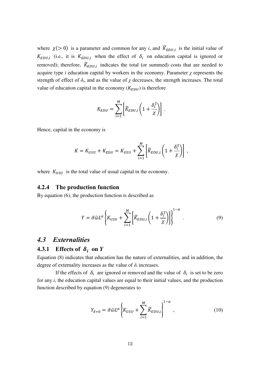where  $\chi$ (> 0) is a parameter and common for any *i*, and  $\widetilde{K}_{EDU,i}$  is the initial value of  $K_{EDU,i}$  (i.e., it is  $K_{EDU,i}$  when the effect of  $\delta_i$  on education capital is ignored or removed); therefore,  $\widetilde{K}_{EDU,i}$  indicates the total (or summed) costs that are needed to acquire type *i* education capital by workers in the economy. Parameter *χ* represents the strength of effect of  $\delta$ *i*, and as the value of  $\chi$  decreases, the strength increases. The total value of education capital in the economy  $(K_{EDU})$  is therefore

$$
K_{EDU} = \sum_{i=1}^{M} \left[ \widetilde{K}_{EDU,i} \left( 1 + \frac{\delta_i^2}{\chi} \right) \right].
$$

Hence, capital in the economy is

$$
K = K_{USU} + K_{EDU} = K_{USU} + \sum_{i=1}^{M} \left[ \widetilde{K}_{EDU,i} \left( 1 + \frac{\delta_i^2}{\chi} \right) \right],
$$

where  $K_{USU}$  is the total value of usual capital in the economy.

#### **4.2.4 The production function**

By equation (6), the production function is described as

$$
Y = \bar{\sigma}\bar{\omega}L^{\alpha}\left\{K_{USU} + \sum_{i=1}^{M} \left[\widetilde{K}_{EDU,i}\left(1 + \frac{\delta_i^2}{\chi}\right)\right]\right\}^{1-\alpha}.
$$
\n(9)

#### *4.3 Externalities*

# **4.3.1** Effects of  $\delta_i$  on *Y*

Equation (8) indicates that education has the nature of externalities, and in addition, the degree of externality increases as the value of  $\delta_i$  increases.

If the effects of  $\delta_i$  are ignored or removed and the value of  $\delta_i$  is set to be zero for any *i*, the education capital values are equal to their initial values, and the production function described by equation (9) degenerates to

$$
Y_{\delta=0} = \bar{\sigma}\bar{\omega}L^{\alpha}\left\{K_{USU} + \sum_{i=1}^{M}\widetilde{K}_{EDU,i}\right\}^{1-\alpha},\qquad(10)
$$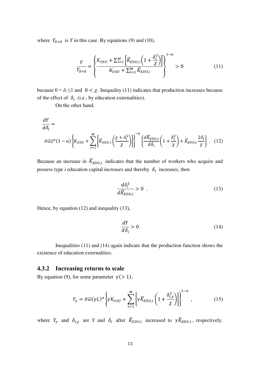where  $Y_{\delta=0}$  is *Y* in this case. By equations (9) and (10),

$$
\frac{Y}{Y_{\delta=0}} = \left\{ \frac{K_{USU} + \sum_{i=1}^{M} \left[ \widetilde{K}_{EDU,i} \left( 1 + \frac{\delta_i^2}{\chi} \right) \right]}{K_{USU} + \sum_{i=1}^{M} \widetilde{K}_{EDU,i}} \right\}^{1-\alpha} > 0
$$
\n(11)

because  $0 < \delta_i \le 1$  and  $0 < \chi$ . Inequality (11) indicates that production increases because of the effect of  $\delta_i$  (i.e., by education externalities).

On the other hand,

$$
\frac{dY}{d\delta_i} = \overline{\sigma \bar{\omega}L^{\alpha}(1-\alpha)\left\{K_{USU} + \sum_{i=1}^{M} \left[\widetilde{K}_{EDU,i}\left(\frac{\chi + \delta_i^2}{\chi}\right)\right]\right\}^{-\alpha} \left\{\frac{d\widetilde{K}_{EDU,i}}{d\delta_i}\left(1 + \frac{\delta_i^2}{\chi}\right) + \widetilde{K}_{EDU,i}\frac{2\delta_i}{\chi}\right\}.
$$
 (12)

Because an increase in  $\widetilde{K}_{EDU,i}$  indicates that the number of workers who acquire and possess type *i* education capital increases and thereby  $\delta_i$  increases, then

$$
\frac{d\delta_i^2}{d\widetilde{K}_{EDU,i}} > 0 \tag{13}
$$

Hence, by equation (12) and inequality (13),

$$
\frac{dY}{d\delta_i} > 0 \tag{14}
$$

 Inequalities (11) and (14) again indicate that the production function shows the existence of education externalities.

#### **4.3.2 Increasing returns to scale**

By equation (9), for some parameter  $\gamma$  (> 1),

$$
Y_{\gamma} = \bar{\sigma}\bar{\omega}(\gamma L)^{\alpha} \left\{ \gamma K_{USU} + \sum_{i=1}^{M} \left[ \gamma \widetilde{K}_{EDU,i} \left( 1 + \frac{\delta_{i,\gamma}^{2}}{\chi} \right) \right] \right\}^{1-\alpha},
$$
 (15)

where  $Y_{\gamma}$  and  $\delta_{i,\gamma}$  are *Y* and  $\delta_i$  after  $\tilde{K}_{EDU,i}$  increased to  $\gamma \tilde{K}_{EDU,i}$ , respectively.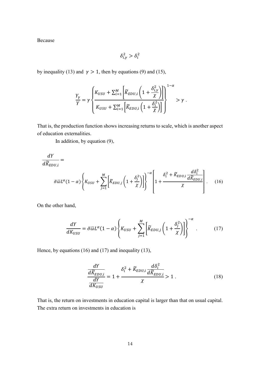Because

$$
\delta_{i,\gamma}^2 > \delta_i^2
$$

by inequality (13) and  $\gamma > 1$ , then by equations (9) and (15),

$$
\frac{Y_{\gamma}}{Y} = \gamma \left\{ \frac{K_{USU} + \sum_{i=1}^{M} \left[ \widetilde{K}_{EDU,i} \left( 1 + \frac{\delta_{i,\gamma}^{2}}{\chi} \right) \right]}{K_{USU} + \sum_{i=1}^{M} \left[ \widetilde{K}_{EDU,i} \left( 1 + \frac{\delta_{i}^{2}}{\chi} \right) \right]} \right\}^{-\alpha} > \gamma.
$$

That is, the production function shows increasing returns to scale, which is another aspect of education externalities.

In addition, by equation (9),

$$
\frac{dY}{d\widetilde{K}_{EDU,i}} = \frac{d\widetilde{K}_{EDU,i}}{\sigma\overline{\omega}L^{\alpha}(1-\alpha)\left\{K_{USU} + \sum_{j=1}^{M} \left[\widetilde{K}_{EDU,j}\left(1+\frac{\delta_{j}^{2}}{\chi}\right)\right]\right\}^{-\alpha}\left[1+\frac{\delta_{i}^{2} + \widetilde{K}_{EDU,i}}{\chi}\frac{d\delta_{i}^{2}}{\chi}\right].
$$
 (16)

On the other hand,

$$
\frac{dY}{dK_{USU}} = \bar{\sigma}\bar{\omega}L^{\alpha}(1-\alpha)\left\{K_{USU} + \sum_{j=1}^{M} \left[\widetilde{K}_{EDU,j}\left(1 + \frac{\delta_j^2}{\chi}\right)\right]\right\}^{-\alpha}.
$$
 (17)

Hence, by equations (16) and (17) and inequality (13),

$$
\frac{dY}{d\widetilde{K}_{EDU,i}} = 1 + \frac{\delta_i^2 + \widetilde{K}_{EDU,i}}{\chi} \frac{d\delta_i^2}{d\widetilde{K}_{EDU,i}} > 1.
$$
\n(18)

That is, the return on investments in education capital is larger than that on usual capital. The extra return on investments in education is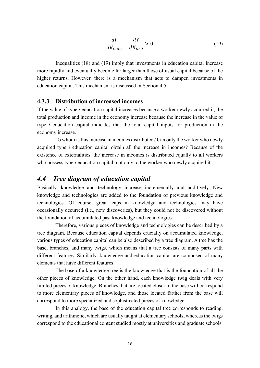$$
\frac{dY}{d\widetilde{K}_{EDU,i}} - \frac{dY}{dK_{USU}} > 0.
$$
\n(19)

Inequalities (18) and (19) imply that investments in education capital increase more rapidly and eventually become far larger than those of usual capital because of the higher returns. However, there is a mechanism that acts to dampen investments in education capital. This mechanism is discussed in Section 4.5.

#### **4.3.3 Distribution of increased incomes**

If the value of type *i* education capital increases because a worker newly acquired it, the total production and income in the economy increase because the increase in the value of type *i* education capital indicates that the total capital inputs for production in the economy increase.

To whom is this increase in incomes distributed? Can only the worker who newly acquired type *i* education capital obtain all the increase in incomes? Because of the existence of externalities, the increase in incomes is distributed equally to all workers who possess type *i* education capital, not only to the worker who newly acquired it.

### *4.4 Tree diagram of education capital*

Basically, knowledge and technology increase incrementally and additively. New knowledge and technologies are added to the foundation of previous knowledge and technologies. Of course, great leaps in knowledge and technologies may have occasionally occurred (i.e., new discoveries), but they could not be discovered without the foundation of accumulated past knowledge and technologies.

 Therefore, various pieces of knowledge and technologies can be described by a tree diagram. Because education capital depends crucially on accumulated knowledge, various types of education capital can be also described by a tree diagram. A tree has the base, branches, and many twigs, which means that a tree consists of many parts with different features. Similarly, knowledge and education capital are composed of many elements that have different features.

The base of a knowledge tree is the knowledge that is the foundation of all the other pieces of knowledge. On the other hand, each knowledge twig deals with very limited pieces of knowledge. Branches that are located closer to the base will correspond to more elementary pieces of knowledge, and those located farther from the base will correspond to more specialized and sophisticated pieces of knowledge.

 In this analogy, the base of the education capital tree corresponds to reading, writing, and arithmetic, which are usually taught at elementary schools, whereas the twigs correspond to the educational content studied mostly at universities and graduate schools.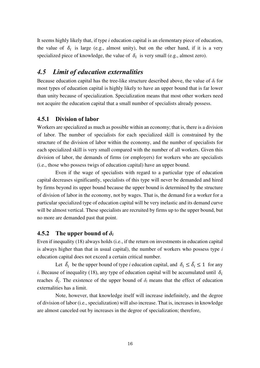It seems highly likely that, if type *i* education capital is an elementary piece of education, the value of  $\delta_i$  is large (e.g., almost unity), but on the other hand, if it is a very specialized piece of knowledge, the value of  $\delta_i$  is very small (e.g., almost zero).

### *4.5 Limit of education externalities*

Because education capital has the tree-like structure described above, the value of  $\delta_i$  for most types of education capital is highly likely to have an upper bound that is far lower than unity because of specialization. Specialization means that most other workers need not acquire the education capital that a small number of specialists already possess.

### **4.5.1 Division of labor**

Workers are specialized as much as possible within an economy; that is, there is a division of labor. The number of specialists for each specialized skill is constrained by the structure of the division of labor within the economy, and the number of specialists for each specialized skill is very small compared with the number of all workers. Given this division of labor, the demands of firms (or employers) for workers who are specialists (i.e., those who possess twigs of education capital) have an upper bound.

 Even if the wage of specialists with regard to a particular type of education capital decreases significantly, specialists of this type will never be demanded and hired by firms beyond its upper bound because the upper bound is determined by the structure of division of labor in the economy, not by wages. That is, the demand for a worker for a particular specialized type of education capital will be very inelastic and its demand curve will be almost vertical. These specialists are recruited by firms up to the upper bound, but no more are demanded past that point.

#### **4.5.2** The upper bound of  $\delta_i$

Even if inequality (18) always holds (i.e., if the return on investments in education capital is always higher than that in usual capital), the number of workers who possess type *i* education capital does not exceed a certain critical number.

Let  $\overline{\delta}_i$  be the upper bound of type *i* education capital, and  $\delta_i \leq \overline{\delta}_i \leq 1$  for any *i*. Because of inequality (18), any type of education capital will be accumulated until  $\delta_i$ reaches  $\overline{\delta_i}$ . The existence of the upper bound of  $\delta_i$  means that the effect of education externalities has a limit.

 Note, however, that knowledge itself will increase indefinitely, and the degree of division of labor (i.e., specialization) will also increase. That is, increases in knowledge are almost canceled out by increases in the degree of specialization; therefore,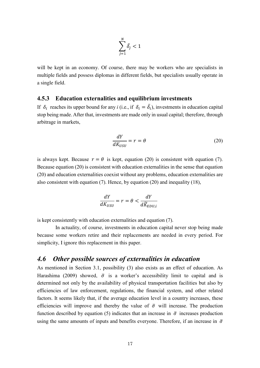$$
\sum_{j=1}^N \bar{\delta_j} < 1
$$

will be kept in an economy. Of course, there may be workers who are specialists in multiple fields and possess diplomas in different fields, but specialists usually operate in a single field.

#### **4.5.3 Education externalities and equilibrium investments**

If  $\delta_i$  reaches its upper bound for any *i* (i.e., if  $\delta_i = \overline{\delta_i}$ ), investments in education capital stop being made. After that, investments are made only in usual capital; therefore, through arbitrage in markets,

$$
\frac{dY}{dK_{USU}} = r = \theta \tag{20}
$$

is always kept. Because  $r = \theta$  is kept, equation (20) is consistent with equation (7). Because equation (20) is consistent with education externalities in the sense that equation (20) and education externalities coexist without any problems, education externalities are also consistent with equation (7). Hence, by equation (20) and inequality (18),

$$
\frac{dY}{dK_{USU}} = r = \theta < \frac{dY}{d\widetilde{K}_{EDU,i}}
$$

is kept consistently with education externalities and equation (7).

 In actuality, of course, investments in education capital never stop being made because some workers retire and their replacements are needed in every period. For simplicity, I ignore this replacement in this paper.

### *4.6 Other possible sources of externalities in education*

As mentioned in Section 3.1, possibility (3) also exists as an effect of education. As Harashima (2009) showed,  $\bar{\sigma}$  is a worker's accessibility limit to capital and is determined not only by the availability of physical transportation facilities but also by efficiencies of law enforcement, regulations, the financial system, and other related factors. It seems likely that, if the average education level in a country increases, these efficiencies will improve and thereby the value of  $\bar{\sigma}$  will increase. The production function described by equation (5) indicates that an increase in  $\bar{\sigma}$  increases production using the same amounts of inputs and benefits everyone. Therefore, if an increase in  $\bar{\sigma}$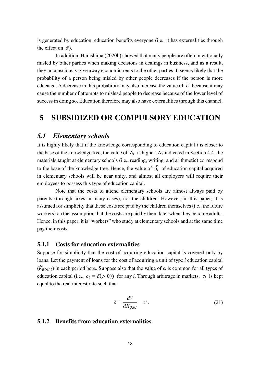is generated by education, education benefits everyone (i.e., it has externalities through the effect on  $\bar{\sigma}$ ).

In addition, Harashima (2020b) showed that many people are often intentionally misled by other parties when making decisions in dealings in business, and as a result, they unconsciously give away economic rents to the other parties. It seems likely that the probability of a person being misled by other people decreases if the person is more educated. A decrease in this probability may also increase the value of  $\bar{\sigma}$  because it may cause the number of attempts to mislead people to decrease because of the lower level of success in doing so. Education therefore may also have externalities through this channel.

## **5 SUBSIDIZED OR COMPULSORY EDUCATION**

### *5.1 Elementary schools*

It is highly likely that if the knowledge corresponding to education capital *i* is closer to the base of the knowledge tree, the value of  $\overline{\delta}_i$  is higher. As indicated in Section 4.4, the materials taught at elementary schools (i.e., reading, writing, and arithmetic) correspond to the base of the knowledge tree. Hence, the value of  $\overline{\delta}_i$  of education capital acquired in elementary schools will be near unity, and almost all employers will require their employees to possess this type of education capital.

 Note that the costs to attend elementary schools are almost always paid by parents (through taxes in many cases), not the children. However, in this paper, it is assumed for simplicity that these costs are paid by the children themselves (i.e., the future workers) on the assumption that the costs are paid by them later when they become adults. Hence, in this paper, it is "workers" who study at elementary schools and at the same time pay their costs.

#### **5.1.1 Costs for education externalities**

Suppose for simplicity that the cost of acquiring education capital is covered only by loans. Let the payment of loans for the cost of acquiring a unit of type *i* education capital  $(\widetilde{K}_{EDU,i})$  in each period be  $c_i$ . Suppose also that the value of  $c_i$  is common for all types of education capital (i.e.,  $c_i = \bar{c} (> 0)$ ) for any *i*. Through arbitrage in markets,  $c_i$  is kept equal to the real interest rate such that

$$
\bar{c} = \frac{dY}{dK_{USU}} = r \ . \tag{21}
$$

#### **5.1.2 Benefits from education externalities**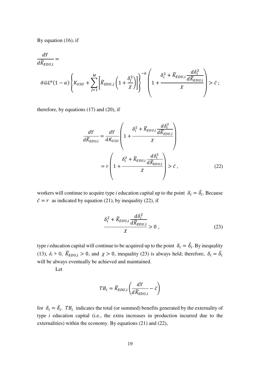By equation (16), if

$$
\begin{split} \frac{dY}{d\widetilde{K}_{EDU,i}}=&\\ \bar{\sigma}\bar{\omega}L^{\alpha}(1-\alpha)\left\{K_{USU}+\sum_{j=1}^{M}\left[\widetilde{K}_{EDU,j}\left(1+\frac{\delta_{j}^{2}}{\chi}\right)\right]\right\}^{-\alpha}\left(1+\frac{\delta_{i}^{2}+\widetilde{K}_{EDU,i}}{\chi}\frac{d\delta_{i}^{2}}{\chi}\right)>\bar{c}\; ; \label{eq:KU} \end{split}
$$

therefore, by equations (17) and (20), if

$$
\frac{dY}{d\widetilde{K}_{EDU,i}} = \frac{dY}{dK_{USU}} \left( 1 + \frac{\delta_i^2 + \widetilde{K}_{EDU,i} \frac{d\delta_i^2}{d\widetilde{K}_{EDU,i}}}{\chi} \right)
$$
\n
$$
= r \left( 1 + \frac{\delta_i^2 + \widetilde{K}_{EDU,i} \frac{d\delta_i^2}{d\widetilde{K}_{EDU,i}}}{\chi} \right) > \bar{c} ,
$$
\n(22)

workers will continue to acquire type *i* education capital up to the point  $\delta_i = \overline{\delta_i}$ . Because  $\bar{c} = r$  as indicated by equation (21), by inequality (22), if

$$
\frac{\delta_i^2 + \widetilde{K}_{EDU,i} \frac{d\delta_i^2}{d\widetilde{K}_{EDU,i}}}{\chi} > 0, \qquad (23)
$$

type *i* education capital will continue to be acquired up to the point  $\delta_i = \overline{\delta_i}$ . By inequality (13),  $\delta_i > 0$ ,  $\widetilde{K}_{EDU,i} > 0$ , and  $\chi > 0$ , inequality (23) is always held; therefore,  $\delta_i = \overline{\delta}_i$ will be always eventually be achieved and maintained.

Let

$$
TB_i = \widetilde{K}_{EDU,i} \left( \frac{dY}{d\widetilde{K}_{EDU,i}} - \bar{c} \right)
$$

for  $\delta_i = \overline{\delta_i}$ . TB<sub>i</sub> indicates the total (or summed) benefits generated by the externality of type *i* education capital (i.e., the extra increases in production incurred due to the externalities) within the economy. By equations (21) and (22),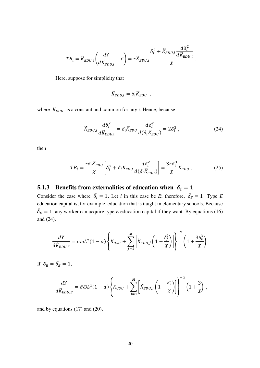$$
TB_i = \widetilde{K}_{EDU,i} \left( \frac{dY}{d\widetilde{K}_{EDU,i}} - \bar{c} \right) = r \widetilde{K}_{EDU,i} \frac{\delta_i^2 + \widetilde{K}_{EDU,i} \frac{d\delta_i^2}{d\widetilde{K}_{EDU,i}}}{\chi}.
$$

Here, suppose for simplicity that

$$
\widetilde{K}_{EDU,i} = \delta_i \overline{K}_{EDU} ,
$$

where  $\overline{K}_{EDU}$  is a constant and common for any *i*. Hence, because

$$
\widetilde{K}_{EDU,i} \frac{d\delta_i^2}{d\widetilde{K}_{EDU,i}} = \delta_i \overline{K}_{EDU} \frac{d\delta_i^2}{d(\delta_i \overline{K}_{EDU})} = 2\delta_i^2 ,\qquad (24)
$$

then

$$
TB_i = \frac{r\delta_i \overline{K}_{EDU}}{\chi} \bigg[ \delta_i^2 + \delta_i \overline{K}_{EDU} \frac{d\delta_i^2}{d(\delta_i \overline{K}_{EDU})} \bigg] = \frac{3r\delta_i^3}{\chi} \overline{K}_{EDU} . \tag{25}
$$

## **5.1.3** Benefits from externalities of education when  $\delta_i = 1$

Consider the case where  $\delta_i = 1$ . Let *i* in this case be *E*; therefore,  $\delta_E = 1$ . Type *E* education capital is, for example, education that is taught in elementary schools. Because  $\overline{\delta}_E = 1$ , any worker can acquire type *E* education capital if they want. By equations (16) and (24),

$$
\frac{dY}{d\widetilde{K}_{EDU,E}} = \bar{\sigma}\bar{\omega}L^{\alpha}(1-\alpha)\left\{K_{USU} + \sum_{j=1}^{M}\left[\widetilde{K}_{EDU,j}\left(1+\frac{\delta_j^2}{\chi}\right)\right]\right\}^{-\alpha}\left(1+\frac{3\delta_E^3}{\chi}\right).
$$

If  $\delta_E = \bar{\delta}_E = 1$ ,

$$
\frac{dY}{d\widetilde{K}_{EDU,E}} = \bar{\sigma}\bar{\omega}L^{\alpha}(1-\alpha)\left\{K_{USU} + \sum_{j=1}^{M}\left[\widetilde{K}_{EDU,j}\left(1+\frac{\delta_j^2}{\chi}\right)\right]\right\}^{-\alpha}\left(1+\frac{3}{\chi}\right)\,,
$$

and by equations (17) and (20),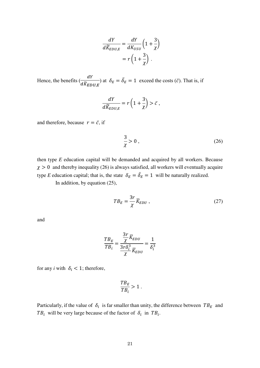$$
\frac{dY}{d\widetilde{K}_{EDU,E}} = \frac{dY}{dK_{USU}} \left( 1 + \frac{3}{\chi} \right)
$$

$$
= r \left( 1 + \frac{3}{\chi} \right) .
$$

Hence, the benefits  $\left(\frac{dY}{dY}\right)$  $\frac{d\vec{K}}{d\vec{K}_{EDU,E}}$  at  $\delta_E = \delta_E = 1$  exceed the costs  $(\vec{c})$ . That is, if

$$
\frac{dY}{d\widetilde{K}_{EDU,E}} = r\left(1 + \frac{3}{\chi}\right) > \bar{c} \ ,
$$

and therefore, because  $r = \bar{c}$ , if

$$
\frac{3}{\chi} > 0 \tag{26}
$$

then type *E* education capital will be demanded and acquired by all workers. Because  $\chi > 0$  and thereby inequality (26) is always satisfied, all workers will eventually acquire type *E* education capital; that is, the state  $\delta_E = \overline{\delta_E} = 1$  will be naturally realized. In addition, by equation (25),

$$
TB_E = \frac{3r}{\chi} \overline{K}_{EDU} , \qquad (27)
$$

and

$$
\frac{TB_E}{TB_i} = \frac{\frac{3r}{\chi} \overline{K}_{EDU}}{\frac{3r\delta_i^3}{\chi} \overline{K}_{EDU}} = \frac{1}{\delta_i^3}
$$

for any *i* with  $\delta_i$  < 1; therefore,

$$
\frac{TB_E}{TB_i} > 1.
$$

Particularly, if the value of  $\delta_i$  is far smaller than unity, the difference between  $TB_E$  and TB<sub>i</sub> will be very large because of the factor of  $\delta_i$  in TB<sub>i</sub>.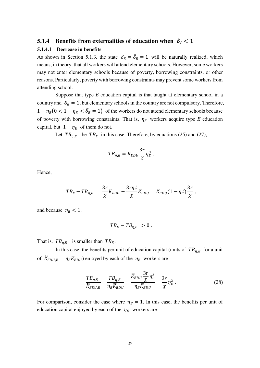### **5.1.4 Benefits from externalities of education when**  $\delta_i < 1$

#### **5.1.4.1 Decrease in benefits**

As shown in Section 5.1.3, the state  $\delta_E = \delta_E = 1$  will be naturally realized, which means, in theory, that all workers will attend elementary schools. However, some workers may not enter elementary schools because of poverty, borrowing constraints, or other reasons. Particularly, poverty with borrowing constraints may prevent some workers from attending school.

 Suppose that type *E* education capital is that taught at elementary school in a country and  $\overline{\delta}_E = 1$ , but elementary schools in the country are not compulsory. Therefore,  $1 - \eta_E (0 < 1 - \eta_E < \overline{\delta}_E = 1)$  of the workers do not attend elementary schools because of poverty with borrowing constraints. That is,  $\eta_E$  workers acquire type *E* education capital, but  $1 - \eta_E$  of them do not.

Let  $TB_{n,E}$  be  $TB_E$  in this case. Therefore, by equations (25) and (27),

$$
TB_{\eta,E} = \overline{K}_{EDU} \frac{3r}{\chi} \eta_E^3.
$$

Hence,

$$
TB_E - TB_{\eta,E} = \frac{3r}{\chi} \overline{K}_{EDU} - \frac{3r\eta_E^3}{\chi} \overline{K}_{EDU} = \overline{K}_{EDU} (1 - \eta_E^3) \frac{3r}{\chi} ,
$$

and because  $\eta_E < 1$ ,

$$
TB_E - TB_{\eta,E} > 0.
$$

That is,  $TB_{\eta,E}$  is smaller than  $TB_E$ .

In this case, the benefits per unit of education capital (units of  $TB_{\eta,E}$  for a unit of  $\widetilde{K}_{EDU,E} = \eta_E \overline{K}_{EDU}$ ) enjoyed by each of the  $\eta_E$  workers are

$$
\frac{TB_{\eta,E}}{\widetilde{K}_{EDU,E}} = \frac{TB_{\eta,E}}{\eta_E \overline{K}_{EDU}} = \frac{\overline{K}_{EDU} \frac{3r}{\chi} \eta_E^3}{\eta_E \overline{K}_{EDU}} = \frac{3r}{\chi} \eta_E^2 \,. \tag{28}
$$

For comparison, consider the case where  $\eta_E = 1$ . In this case, the benefits per unit of education capital enjoyed by each of the  $\eta_E$  workers are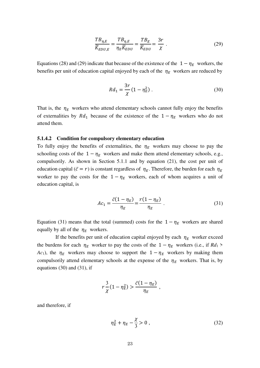$$
\frac{TB_{\eta,E}}{\widetilde{K}_{EDU,E}} = \frac{TB_{\eta,E}}{\eta_E \overline{K}_{EDU}} = \frac{TB_E}{\overline{K}_{EDU}} = \frac{3r}{\chi} \ . \tag{29}
$$

Equations (28) and (29) indicate that because of the existence of the  $1 - \eta_E$  workers, the benefits per unit of education capital enjoyed by each of the  $\eta_E$  workers are reduced by

$$
Rd_1 = \frac{3r}{\chi} (1 - \eta_E^2) \,. \tag{30}
$$

That is, the  $\eta_E$  workers who attend elementary schools cannot fully enjoy the benefits of externalities by  $Rd_1$  because of the existence of the  $1 - \eta_E$  workers who do not attend them.

#### **5.1.4.2 Condition for compulsory elementary education**

To fully enjoy the benefits of externalities, the  $\eta_F$  workers may choose to pay the schooling costs of the  $1 - \eta_E$  workers and make them attend elementary schools, e.g., compulsorily. As shown in Section 5.1.1 and by equation (21), the cost per unit of education capital ( $\bar{c} = r$ ) is constant regardless of  $\eta_E$ . Therefore, the burden for each  $\eta_E$ worker to pay the costs for the  $1 - \eta_E$  workers, each of whom acquires a unit of education capital, is

$$
Ac_1 = \frac{\bar{c}(1 - \eta_E)}{\eta_E} = \frac{r(1 - \eta_E)}{\eta_E} \ . \tag{31}
$$

Equation (31) means that the total (summed) costs for the  $1 - \eta_F$  workers are shared equally by all of the  $\eta_E$  workers.

If the benefits per unit of education capital enjoyed by each  $\eta_F$  worker exceed the burdens for each  $\eta_E$  worker to pay the costs of the  $1 - \eta_E$  workers (i.e., if  $Rd_1$ ) *Ac*<sub>1</sub>), the  $\eta_E$  workers may choose to support the  $1 - \eta_E$  workers by making them compulsorily attend elementary schools at the expense of the  $\eta_E$  workers. That is, by equations (30) and (31), if

$$
r\frac{3}{\chi}(1-\eta_E^2) > \frac{\bar{c}(1-\eta_E)}{\eta_E} ,
$$

and therefore, if

$$
\eta_E^2 + \eta_E - \frac{\chi}{3} > 0 \,, \tag{32}
$$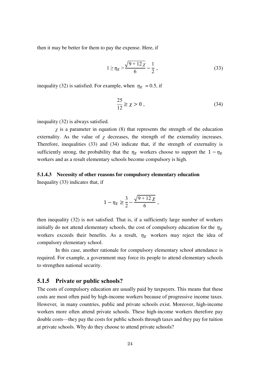then it may be better for them to pay the expense. Here, if

$$
1 \ge \eta_E > \frac{\sqrt{9 + 12\chi}}{6} - \frac{1}{2},
$$
\n(33)

inequality (32) is satisfied. For example, when  $\eta_E = 0.5$ , if

$$
\frac{25}{12} \ge \chi > 0 \tag{34}
$$

inequality (32) is always satisfied.

*χ* is a parameter in equation (8) that represents the strength of the education externality. As the value of  $\chi$  decreases, the strength of the externality increases. Therefore, inequalities (33) and (34) indicate that, if the strength of externality is sufficiently strong, the probability that the  $\eta_E$  workers choose to support the  $1 - \eta_E$ workers and as a result elementary schools become compulsory is high.

#### **5.1.4.3 Necessity of other reasons for compulsory elementary education**

Inequality (33) indicates that, if

$$
1 - \eta_E \ge \frac{3}{2} - \frac{\sqrt{9 + 12 \chi}}{6} \,,
$$

then inequality (32) is not satisfied. That is, if a sufficiently large number of workers initially do not attend elementary schools, the cost of compulsory education for the  $\eta_F$ workers exceeds their benefits. As a result,  $\eta_E$  workers may reject the idea of compulsory elementary school.

 In this case, another rationale for compulsory elementary school attendance is required. For example, a government may force its people to attend elementary schools to strengthen national security.

#### **5.1.5 Private or public schools?**

The costs of compulsory education are usually paid by taxpayers. This means that these costs are most often paid by high-income workers because of progressive income taxes. However, in many countries, public and private schools exist. Moreover, high-income workers more often attend private schools. These high-income workers therefore pay double costs—they pay the costs for public schools through taxes and they pay for tuition at private schools. Why do they choose to attend private schools?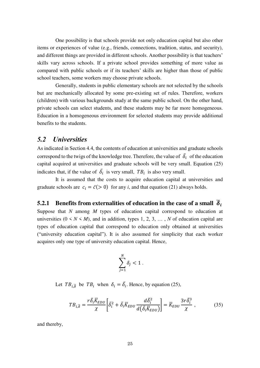One possibility is that schools provide not only education capital but also other items or experiences of value (e.g., friends, connections, tradition, status, and security), and different things are provided in different schools. Another possibility is that teachers' skills vary across schools. If a private school provides something of more value as compared with public schools or if its teachers' skills are higher than those of public school teachers, some workers may choose private schools.

 Generally, students in public elementary schools are not selected by the schools but are mechanically allocated by some pre-existing set of rules. Therefore, workers (children) with various backgrounds study at the same public school. On the other hand, private schools can select students, and these students may be far more homogeneous. Education in a homogeneous environment for selected students may provide additional benefits to the students.

### *5.2 Universities*

As indicated in Section 4.4, the contents of education at universities and graduate schools correspond to the twigs of the knowledge tree. Therefore, the value of  $\delta_i$  of the education capital acquired at universities and graduate schools will be very small. Equation (25) indicates that, if the value of  $\overline{\delta}_i$  is very small,  $TB_i$  is also very small.

 It is assumed that the costs to acquire education capital at universities and graduate schools are  $c_i = \bar{c}$  (> 0) for any *i*, and that equation (21) always holds.

## **5.2.1** Benefits from externalities of education in the case of a small  $\overline{\delta}_i$

Suppose that *N* among *M* types of education capital correspond to education at universities  $(0 \le N \le M)$ , and in addition, types 1, 2, 3, ..., N of education capital are types of education capital that correspond to education only obtained at universities ("university education capital"). It is also assumed for simplicity that each worker acquires only one type of university education capital. Hence,

$$
\sum_{j=1}^N \delta_j < 1.
$$

Let  $TB_{i,\overline{\delta}}$  be  $TB_i$  when  $\delta_i = \overline{\delta}_i$ . Hence, by equation (25),

$$
TB_{i,\overline{\delta}} = \frac{r\overline{\delta}_{i}\overline{K}_{EDU}}{\chi} \bigg[ \overline{\delta}_{i}^{2} + \overline{\delta}_{i}\overline{K}_{EDU} \frac{d\overline{\delta}_{i}^{2}}{d(\overline{\delta}_{i}\overline{K}_{EDU})} \bigg] = \overline{K}_{EDU} \frac{3r\overline{\delta}_{i}^{3}}{\chi} , \qquad (35)
$$

and thereby,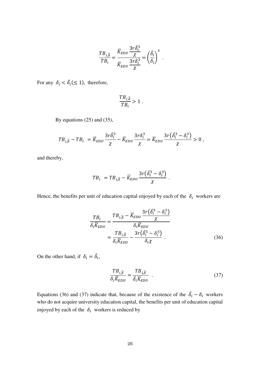$$
\frac{TB_{i,\overline{\delta}}}{TB_i} = \frac{\overline{K}_{EDU} \frac{3r\overline{\delta_i^3}}{\chi}}{\overline{K}_{EDU} \frac{3r\overline{\delta_i^3}}{\chi}} = \left(\frac{\overline{\delta_i}}{\delta_i}\right)^3.
$$

For any  $\delta_i < \overline{\delta_i} (\leq 1)$ , therefore,

$$
\frac{TB_{i,\overline{\delta}}}{TB_i} > 1.
$$

By equations 
$$
(25)
$$
 and  $(35)$ ,

$$
TB_{i,\overline{\delta}} - TB_i = \overline{K}_{EDU} \frac{3r\overline{\delta}_i^3}{\chi} - \overline{K}_{EDU} \frac{3r\delta_i^3}{\chi} = \overline{K}_{EDU} \frac{3r(\overline{\delta}_i^3 - \delta_i^3)}{\chi} > 0,
$$

and thereby,

$$
TB_i = TB_{i,\overline{\delta}} - \overline{K}_{EDU} \frac{3r(\overline{\delta}_i^3 - \delta_i^3)}{\chi}.
$$

Hence, the benefits per unit of education capital enjoyed by each of the  $\delta_i$  workers are

$$
\frac{TB_i}{\delta_i \overline{K}_{EDU}} = \frac{TB_{i,\overline{\delta}} - \overline{K}_{EDU} \frac{3r(\overline{\delta}_i^3 - \delta_i^3)}{\chi}}{\delta_i \overline{K}_{EDU}}
$$

$$
= \frac{TB_{i,\overline{\delta}}}{\delta_i \overline{K}_{EDU}} - \frac{3r(\overline{\delta}_i^3 - \delta_i^3)}{\delta_i \chi}.
$$
(36)

On the other hand, if  $\delta_i = \delta_i$ ,

$$
\frac{T B_{i,\overline{\delta}}}{\delta_i \overline{K}_{EDU}} = \frac{T B_{i,\overline{\delta}}}{\overline{\delta}_i \overline{K}_{EDU}} .
$$
\n(37)

Equations (36) and (37) indicate that, because of the existence of the  $\delta_i - \delta_i$  workers who do not acquire university education capital, the benefits per unit of education capital enjoyed by each of the  $\delta_i$  workers is reduced by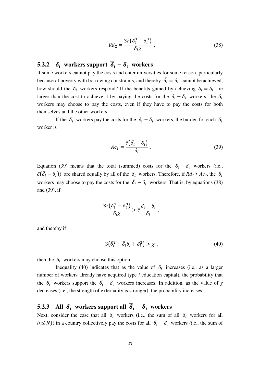$$
Rd_2 = \frac{3r(\bar{\delta}_i^3 - \delta_i^3)}{\delta_i \chi} \,. \tag{38}
$$

## **5.2.2**  $\delta_i$  workers support  $\overline{\delta}_i - \delta_i$  workers

If some workers cannot pay the costs and enter universities for some reason, particularly because of poverty with borrowing constraints, and thereby  $\overline{\delta}_i = \delta_i$  cannot be achieved, how should the  $\delta_i$  workers respond? If the benefits gained by achieving  $\delta_i = \delta_i$  are larger than the cost to achieve it by paying the costs for the  $\delta_i - \delta_i$  workers, the  $\delta_i$ workers may choose to pay the costs, even if they have to pay the costs for both themselves and the other workers.

If the  $\delta_i$  workers pay the costs for the  $\overline{\delta}_i - \delta_i$  workers, the burden for each  $\delta_i$ worker is

$$
Ac_2 = \frac{\bar{c}(\bar{\delta}_i - \delta_i)}{\delta_i} \ . \tag{39}
$$

Equation (39) means that the total (summed) costs for the  $\delta_i - \delta_i$  workers (i.e.,  $\bar{c}(\bar{\delta}_i - \delta_i)$  are shared equally by all of the  $\delta_i$  workers. Therefore, if  $Rd_2 > Ac_2$ , the  $\delta_i$ workers may choose to pay the costs for the  $\delta_i - \delta_i$  workers. That is, by equations (38) and (39), if

$$
\frac{3r(\bar{\delta}_i^3-\delta_i^3)}{\delta_i \chi} > \bar{c} \frac{\bar{\delta}_i-\delta_i}{\delta_i} ,
$$

and thereby if

$$
3(\bar{\delta}_i^2 + \bar{\delta}_i \delta_i + \delta_i^2) > \chi \tag{40}
$$

then the  $\delta_i$  workers may choose this option.

Inequality (40) indicates that as the value of  $\delta_i$  increases (i.e., as a larger number of workers already have acquired type *i* education capital), the probability that the  $\delta_i$  workers support the  $\delta_i - \delta_i$  workers increases. In addition, as the value of  $\chi$ decreases (i.e., the strength of externality is stronger), the probability increases.

## **5.2.3** All  $\delta_i$  workers support all  $\overline{\delta}_i - \delta_i$  workers

Next, consider the case that all  $\delta_i$  workers (i.e., the sum of all  $\delta_i$  workers for all  $i(\leq N)$ ) in a country collectively pay the costs for all  $\delta_i - \delta_i$  workers (i.e., the sum of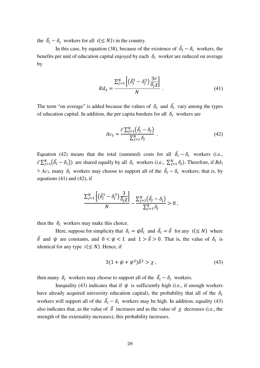the  $\overline{\delta}_i - \delta_i$  workers for all  $i(\leq N)$  in the country.

In this case, by equation (38), because of the existence of  $\delta_i - \delta_i$  workers, the benefits per unit of education capital enjoyed by each  $\delta_i$  worker are reduced on average by

$$
Rd_3 = \frac{\sum_{j=1}^{N} \left[ \left( \bar{\delta}_j^3 - \delta_j^3 \right) \frac{3r}{\delta_j \chi} \right]}{N} \tag{41}
$$

The term "on average" is added because the values of  $\delta_i$  and  $\overline{\delta}_i$  vary among the types of education capital. In addition, the per capita burdens for all  $\delta_i$  workers are

$$
Ac_3 = \frac{\bar{c}\sum_{j=1}^{N}(\bar{\delta}_j - \delta_j)}{\sum_{j=1}^{N}\delta_j}.
$$
\n(42)

Equation (42) means that the total (summed) costs for all  $\delta_i - \delta_i$  workers (i.e.,  $\bar{c} \sum_{j=1}^{N} (\bar{\delta}_i - \delta_i)$  are shared equally by all  $\delta_i$  workers (i.e.,  $\sum_{j=1}^{N} \delta_j$ ). Therefore, if  $Rd_3$  $> Ac_3$ , many  $\delta_i$  workers may choose to support all of the  $\delta_i - \delta_i$  workers; that is, by equations  $(41)$  and  $(42)$ , if

$$
\frac{\sum_{j=1}^{N} \left[ \left( \bar{\delta}_j^3 - \delta_j^3 \right) \frac{3}{\delta_j \chi} \right]}{N} - \frac{\sum_{j=1}^{N} \left( \bar{\delta}_j - \delta_j \right)}{\sum_{j=1}^{N} \delta_j} > 0,
$$

then the  $\delta_i$  workers may make this choice.

Here, suppose for simplicity that  $\delta_i = \psi \overline{\delta}_i$  and  $\overline{\delta}_i = \overline{\delta}$  for any  $i (\leq N)$  where  $\overline{\delta}$  and  $\psi$  are constants, and  $0 < \psi < 1$  and  $1 > \overline{\delta} > 0$ . That is, the value of  $\delta_i$  is identical for any type  $i \leq N$ ). Hence, if

$$
3(1 + \psi + \psi^2)\bar{\delta}^2 > \chi \,, \tag{43}
$$

then many  $\delta_i$  workers may choose to support all of the  $\delta_i - \delta_i$  workers.

Inequality (43) indicates that if  $\psi$  is sufficiently high (i.e., if enough workers have already acquired university education capital), the probability that all of the  $\delta_i$ workers will support all of the  $\delta_i - \delta_i$  workers may be high. In addition, equality (43) also indicates that, as the value of  $\bar{\delta}$  increases and as the value of  $\chi$  decreases (i.e., the strength of the externality increases), this probability increases.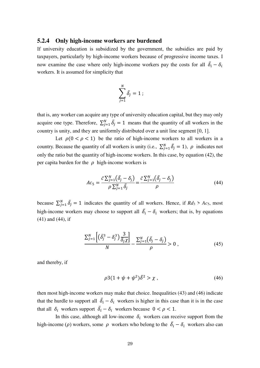#### **5.2.4 Only high-income workers are burdened**

If university education is subsidized by the government, the subsidies are paid by taxpayers, particularly by high-income workers because of progressive income taxes. I now examine the case where only high-income workers pay the costs for all  $\delta_i - \delta_i$ workers. It is assumed for simplicity that

$$
\sum_{j=1}^N \bar{\delta_j} = 1 \ ;
$$

that is, any worker can acquire any type of university education capital, but they may only acquire one type. Therefore,  $\sum_{j=1}^{N} \overline{\delta}_j = 1$  means that the quantity of all workers in the country is unity, and they are uniformly distributed over a unit line segment [0, 1].

Let  $\rho(0 < \rho < 1)$  be the ratio of high-income workers to all workers in a country. Because the quantity of all workers is unity (i.e.,  $\sum_{j=1}^{N} \delta_j = 1$ ),  $\rho$  indicates not only the ratio but the quantity of high-income workers. In this case, by equation (42), the per capita burden for the  $\rho$  high-income workers is

$$
Ac_5 = \frac{\bar{c}\sum_{j=1}^N(\bar{\delta}_j - \delta_j)}{\rho\sum_{j=1}^N\bar{\delta}_j} = \frac{\bar{c}\sum_{j=1}^N(\bar{\delta}_j - \delta_j)}{\rho}
$$
(44)

because  $\sum_{j=1}^{N} \overline{\delta_j} = 1$  indicates the quantity of all workers. Hence, if  $Rd_3 > Ac_5$ , most high-income workers may choose to support all  $\delta_i - \delta_i$  workers; that is, by equations (41) and (44), if

$$
\frac{\sum_{j=1}^{N} \left[ \left( \bar{\delta}_j^3 - \delta_j^3 \right) \frac{3}{\delta_j \chi} \right]}{N} - \frac{\sum_{j=1}^{N} \left( \bar{\delta}_j - \delta_j \right)}{\rho} > 0 , \qquad (45)
$$

and thereby, if

$$
\rho 3(1+\psi+\psi^2)\bar{\delta}^2 > \chi \,, \tag{46}
$$

then most high-income workers may make that choice. Inequalities (43) and (46) indicate that the hurdle to support all  $\overline{\delta}_i - \delta_i$  workers is higher in this case than it is in the case that all  $\delta_i$  workers support  $\delta_i - \delta_i$  workers because  $0 < \rho < 1$ .

In this case, although all low-income  $\delta_i$  workers can receive support from the high-income ( $\rho$ ) workers, some  $\rho$  workers who belong to the  $\delta_i - \delta_i$  workers also can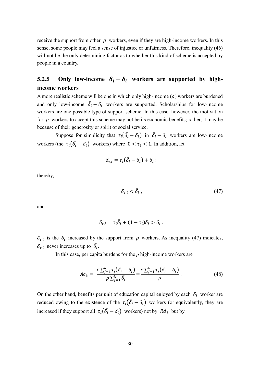receive the support from other  $\rho$  workers, even if they are high-income workers. In this sense, some people may feel a sense of injustice or unfairness. Therefore, inequality (46) will not be the only determining factor as to whether this kind of scheme is accepted by people in a country.

### **5.2.5** Only low-income  $\delta_i - \delta_i$  workers are supported by high**income workers**

A more realistic scheme will be one in which only high-income  $(\rho)$  workers are burdened and only low-income  $\delta_i - \delta_i$  workers are supported. Scholarships for low-income workers are one possible type of support scheme. In this case, however, the motivation for  $\rho$  workers to accept this scheme may not be its economic benefits; rather, it may be because of their generosity or spirit of social service.

Suppose for simplicity that  $\tau_i(\delta_i - \delta_i)$  in  $\delta_i - \delta_i$  workers are low-income workers (the  $\tau_i(\overline{\delta}_i - \delta_i)$  workers) where  $0 < \tau_i < 1$ . In addition, let

$$
\delta_{\tau,i} = \tau_i(\bar{\delta}_i - \delta_i) + \delta_i ;
$$

thereby,

$$
\delta_{\tau,i} < \bar{\delta}_i \,,\tag{47}
$$

and

$$
\delta_{\tau,i} = \tau_i \bar{\delta}_i + (1 - \tau_i) \delta_i > \delta_i.
$$

 $\delta_{\tau,i}$  is the  $\delta_i$  increased by the support from  $\rho$  workers. As inequality (47) indicates,  $\delta_{\tau,i}$  never increases up to  $\overline{\delta}_i$ .

In this case, per capita burdens for the *ρ* high-income workers are

$$
Ac_6 = \frac{\bar{c}\sum_{j=1}^N \tau_j(\bar{\delta}_j - \delta_j)}{\rho \sum_{j=1}^N \bar{\delta}_j} = \frac{\bar{c}\sum_{j=1}^N \tau_j(\bar{\delta}_j - \delta_j)}{\rho} \ . \tag{48}
$$

On the other hand, benefits per unit of education capital enjoyed by each  $\delta_i$  worker are reduced owing to the existence of the  $\tau_i(\delta_i - \delta_i)$  workers (or equivalently, they are increased if they support all  $\tau_i(\overline{\delta_i}-\delta_i)$  workers) not by  $Rd_3$  but by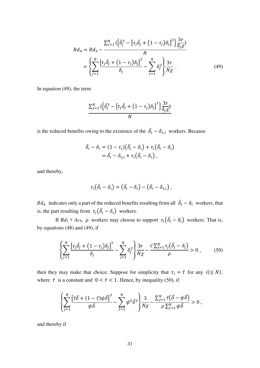$$
Rd_4 = Rd_3 - \frac{\sum_{j=1}^{N} \left\{ \bar{\delta}_j^3 - \left[ \tau_j \bar{\delta}_j + (1 - \tau_j) \delta_j \right]^3 \right\} \frac{3r}{\delta_j \chi}}{N}
$$
  
= 
$$
\left\{ \sum_{j=1}^{N} \frac{\left[ \tau_j \bar{\delta}_j + (1 - \tau_j) \delta_j \right]^3}{\delta_j} - \sum_{j=1}^{N} \delta_j^2 \right\} \frac{3r}{N \chi} .
$$
 (49)

In equation (49), the term

$$
\frac{\sum_{j=1}^{N} \langle \left\{ \bar{\delta}_{j}^{3} - \left[ \tau_{j} \bar{\delta}_{j} + (1 - \tau_{j}) \delta_{j} \right]^{3} \right\} \frac{3r}{\delta_{j} \chi}}{N}
$$

is the reduced benefits owing to the existence of the  $\delta_i - \delta_{\tau,i}$  workers. Because

$$
\begin{aligned} \bar{\delta}_i - \delta_i &= (1 - \tau_i) \big( \bar{\delta}_i - \delta_i \big) + \tau_i \big( \bar{\delta}_i - \delta_i \big) \\ &= \bar{\delta}_i - \delta_{\tau,i} + \tau_i \big( \bar{\delta}_i - \delta_i \big) \,, \end{aligned}
$$

and thereby,

$$
\tau_i(\bar{\delta}_i-\delta_i)=(\bar{\delta}_i-\delta_i)-(\bar{\delta}_i-\delta_{\tau,i}),
$$

 $Rd_4$  indicates only a part of the reduced benefits resulting from all  $\delta_i - \delta_i$  workers, that is, the part resulting from  $\tau_i(\overline{\delta_i} - \delta_i)$  workers.

If  $Rd_4 > Ac_6$ ,  $\rho$  workers may choose to support  $\tau_i(\delta_i - \delta_i)$  workers. That is, by equations (48) and (49), if

$$
\left\{\sum_{j=1}^{N}\frac{\left[\tau_{j}\bar{\delta}_{j}+\left(1-\tau_{j}\right)\delta_{j}\right]^{3}}{\delta_{j}}-\sum_{j=1}^{N}\delta_{j}^{2}\right\}\frac{3r}{N\chi}-\frac{\bar{c}\sum_{j=1}^{N}\tau_{j}\left(\bar{\delta}_{j}-\delta_{j}\right)}{\rho}>0\,,\qquad(50)
$$

then they may make that choice. Suppose for simplicity that  $\tau_i = \bar{\tau}$  for any  $i (\le N)$ , where  $\bar{\tau}$  is a constant and  $0 < \bar{\tau} < 1$ . Hence, by inequality (50), if

$$
\left\{\sum_{j=1}^N\frac{\left[\bar{\tau}\bar{\delta}+(1-\bar{\tau})\psi\bar{\delta}\right]^3}{\psi\bar{\delta}}-\sum_{j=1}^N\psi^2\bar{\delta}^2\right\}\frac{3}{N\chi}-\frac{\sum_{j=1}^N\bar{\tau}(\bar{\delta}-\psi\bar{\delta})}{\rho\sum_{j=1}^N\psi\bar{\delta}}>0,
$$

and thereby if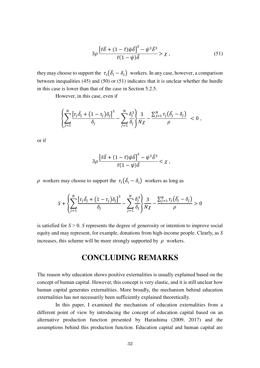$$
3\rho \frac{\left[\bar{\tau}\bar{\delta} + (1-\bar{\tau})\psi\bar{\delta}\right]^3 - \psi^3 \bar{\delta}^3}{\bar{\tau}(1-\psi)\bar{\delta}} > \chi \,,\tag{51}
$$

they may choose to support the  $\tau_i(\overline{\delta_i}-\delta_i)$  workers. In any case, however, a comparison between inequalities (45) and (50) or (51) indicates that it is unclear whether the hurdle in this case is lower than that of the case in Section 5.2.5.

However, in this case, even if

$$
\left\{\sum_{j=1}^N\frac{\left[\tau_j\bar{\delta_j}+\left(1-\tau_j\right)\delta_j\right]^3}{\delta_j}-\sum_{j=1}^N\frac{\delta_j^3}{\delta_j}\right\}\frac{3}{N\chi}-\frac{\sum_{j=1}^N\tau_j(\bar{\delta_j}-\delta_j)}{\rho} < 0,
$$

or if

$$
3\rho \frac{\left[\bar{\tau }\bar{\delta }+(1-\bar{\tau })\psi \bar{\delta }\right]^{3}-\psi ^{3}\bar{\delta }^{3}}{\bar{\tau }(1-\psi )\bar{\delta }}<\chi \; ,
$$

 $\rho$  workers may choose to support the  $\tau_i(\overline{\delta}_i - \delta_i)$  workers as long as

$$
S + \left\{\sum_{j=1}^{N} \frac{\left[\tau_j \bar{\delta_j} + (1 - \tau_j) \delta_j\right]^3}{\delta_j} - \sum_{j=1}^{N} \frac{\delta_j^3}{\delta_j} \right\} \frac{3}{N\chi} - \frac{\sum_{j=1}^{N} \tau_j (\bar{\delta_j} - \delta_j)}{\rho} > 0
$$

is satisfied for  $S > 0$ . *S* represents the degree of generosity or intention to improve social equity and may represent, for example, donations from high-income people. Clearly, as *S* increases, this scheme will be more strongly supported by  $\rho$  workers.

## **CONCLUDING REMARKS**

The reason why education shows positive externalities is usually explained based on the concept of human capital. However, this concept is very elastic, and it is still unclear how human capital generates externalities. More broadly, the mechanism behind education externalities has not necessarily been sufficiently explained theoretically.

 In this paper, I examined the mechanism of education externalities from a different point of view by introducing the concept of education capital based on an alternative production function presented by Harashima (2009, 2017) and the assumptions behind this production function. Education capital and human capital are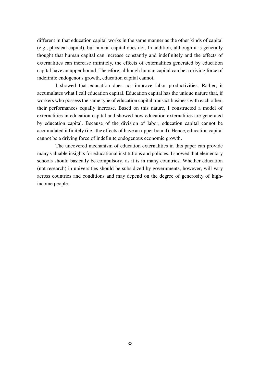different in that education capital works in the same manner as the other kinds of capital (e.g., physical capital), but human capital does not. In addition, although it is generally thought that human capital can increase constantly and indefinitely and the effects of externalities can increase infinitely, the effects of externalities generated by education capital have an upper bound. Therefore, although human capital can be a driving force of indefinite endogenous growth, education capital cannot.

 I showed that education does not improve labor productivities. Rather, it accumulates what I call education capital. Education capital has the unique nature that, if workers who possess the same type of education capital transact business with each other, their performances equally increase. Based on this nature, I constructed a model of externalities in education capital and showed how education externalities are generated by education capital. Because of the division of labor, education capital cannot be accumulated infinitely (i.e., the effects of have an upper bound). Hence, education capital cannot be a driving force of indefinite endogenous economic growth.

 The uncovered mechanism of education externalities in this paper can provide many valuable insights for educational institutions and policies. I showed that elementary schools should basically be compulsory, as it is in many countries. Whether education (not research) in universities should be subsidized by governments, however, will vary across countries and conditions and may depend on the degree of generosity of highincome people.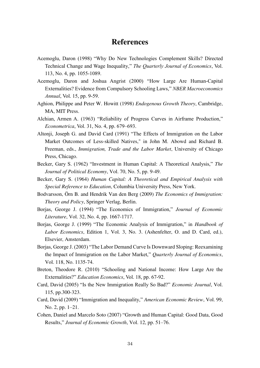## **References**

- Acemoglu, Daron (1998) "Why Do New Technologies Complement Skills? Directed Technical Change and Wage Inequality," *The Quarterly Journal of Economics*, Vol. 113, No. 4, pp. 1055-1089.
- Acemoglu, Daron and Joshua Angrist (2000) "How Large Are Human-Capital Externalities? Evidence from Compulsory Schooling Laws," *NBER Macroeconomics Annual*, Vol. 15, pp. 9-59.
- Aghion, Philippe and Peter W. Howitt (1998) *Endogenous Growth Theory*, Cambridge, MA, MIT Press.
- Alchian, Armen A. (1963) "Reliability of Progress Curves in Airframe Production," *Econometrica*, Vol. 31, No. 4, pp. 679–693.
- Altonji, Joseph G. and David Card (1991) "The Effects of Immigration on the Labor Market Outcomes of Less-skilled Natives," in John M. Abowd and Richard B. Freeman, eds., *Immigration, Trade and the Labor Market*, University of Chicago Press, Chicago.
- Becker, Gary S. (1962) "Investment in Human Capital: A Theoretical Analysis," *The Journal of Political Economy*, Vol. 70, No. 5, pp. 9-49.
- Becker, Gary S. (1964) *Human Capital: A Theoretical and Empirical Analysis with Special Reference to Education*, Columbia University Press, New York.
- Bodvarsson, Örn B. and Hendrik Van den Berg (2009) *The Economics of Immigration: Theory and Policy*, Springer Verlag, Berlin.
- Borjas, George J. (1994) "The Economics of Immigration," *Journal of Economic Literature*, Vol. 32, No. 4, pp. 1667-1717.
- Borjas, George J. (1999) "The Economic Analysis of Immigration," in *Handbook of Labor Economics*, Edition 1, Vol. 3, No. 3. (Ashenfelter, O. and D. Card, ed.), Elsevier, Amsterdam.
- Borjas, George J. (2003) "The Labor Demand Curve Is Downward Sloping: Reexamining the Impact of Immigration on the Labor Market," *Quarterly Journal of Economics*, Vol. 118, No. 1135-74.
- Breton, Theodore R. (2010) "Schooling and National Income: How Large Are the Externalities?" *Education Economics*, Vol. 18, pp. 67-92.
- Card, David (2005) "Is the New Immigration Really So Bad?" *Economic Journal*, Vol. 115, pp.300-323.
- Card, David (2009) "Immigration and Inequality," *American Economic Review*, Vol. 99, No. 2, pp. 1–21.
- Cohen, Daniel and Marcelo Soto (2007) "Growth and Human Capital: Good Data, Good Results," *Journal of Economic Growth*, Vol. 12, pp. 51–76.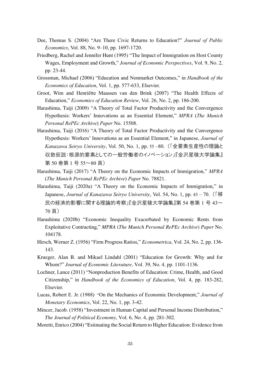- Dee, Thomas S. (2004) "Are There Civic Returns to Education?" *Journal of Public Economics*, Vol. 88, No. 9–10, pp. 1697-1720.
- Friedberg, Rachel and Jennifer Hunt (1995) "The Impact of Immigration on Host County Wages, Employment and Growth," *Journal of Economic Perspectives*, Vol. 9, No. 2, pp. 23-44.
- Grossman, Michael (2006) "Education and Nonmarket Outcomes," in *Handbook of the Economics of Education*, Vol. 1, pp. 577-633, Elsevier.
- Groot, Wim and Henriëtte Maassen van den Brink (2007) "The Health Effects of Education," *Economics of Education Review*, Vol. 26, No. 2, pp. 186-200.
- Harashima, Taiji (2009) "A Theory of Total Factor Productivity and the Convergence Hypothesis: Workers' Innovations as an Essential Element," *MPRA* (*The Munich Personal RePEc Archive*) *Paper* No. 15508.
- Harashima, Taiji (2016) "A Theory of Total Factor Productivity and the Convergence Hypothesis: Workers' Innovations as an Essential Element," in Japanese, *Journal of Kanazawa Seiryo University*, Vol. 50, No. 1, pp. 55 –80. (「全要素生産性の理論と 収斂仮説:根源的要素としての一般労働者のイノベーション」『金沢星稜大学論集』 第 50 巻第 1 号 55~80 頁)
- Harashima, Taiji (2017) "A Theory on the Economic Impacts of Immigration," *MPRA* (*The Munich Personal RePEc Archive*) *Paper* No. 78821.
- Harashima, Taiji (2020a) "A Theory on the Economic Impacts of Immigration," in Japanese, *Journal of Kanazawa Seiryo University*, Vol. 54, No. 1, pp. 43 – 70. (「移 民の経済的影響に関する理論的考察」『金沢星稜大学論集』第 54 巻第 1 号 43~ 70 頁)
- Harashima (2020b) "Economic Inequality Exacerbated by Economic Rents from Exploitative Contracting," *MPRA* (*The Munich Personal RePEc Archive*) *Paper* No. 104178.
- Hirsch, Werner Z. (1956) "Firm Progress Ratios," *Econometrica*, Vol. 24, No. 2, pp. 136- 143.
- Krueger, Alan B. and Mikael Lindahl (2001) "Education for Growth: Why and for Whom?" *Journal of Economic Literature*, Vol. 39, No. 4, pp. 1101-1136.
- Lochner, Lance (2011) "Nonproduction Benefits of Education: Crime, Health, and Good Citizenship," in *Handbook of the Economics of Education*, Vol. 4, pp. 183-282, Elsevier.
- Lucas, Robert E. Jr. (1988) "On the Mechanics of Economic Development," *Journal of Monetary Economics*, Vol. 22, No. 1, pp. 3-42.
- Mincer, Jacob. (1958) "Investment in Human Capital and Personal Income Distribution," *The Journal of Political Economy*, Vol. 6, No. 4, pp. 281-302.
- Moretti, Enrico (2004) "Estimating the Social Return to Higher Education: Evidence from